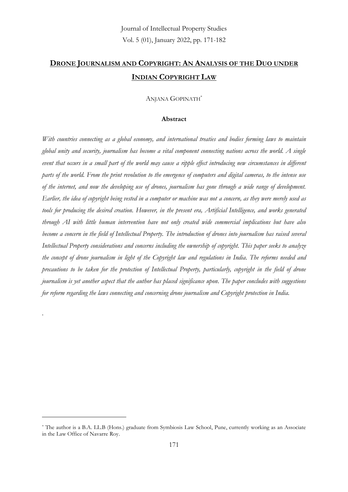# **DRONE JOURNALISM AND COPYRIGHT: AN ANALYSIS OF THE DUO UNDER INDIAN COPYRIGHT LAW**

#### ANJANA GOPINATH\*

#### **Abstract**

*With countries connecting as a global economy, and international treaties and bodies forming laws to maintain global unity and security, journalism has become a vital component connecting nations across the world. A single event that occurs in a small part of the world may cause a ripple effect introducing new circumstances in different parts of the world. From the print revolution to the emergence of computers and digital cameras, to the intense use of the internet, and now the developing use of drones, journalism has gone through a wide range of development. Earlier, the idea of copyright being vested in a computer or machine was not a concern, as they were merely used as tools for producing the desired creation. However, in the present era, Artificial Intelligence, and works generated through AI with little human intervention have not only created wide commercial implications but have also become a concern in the field of Intellectual Property. The introduction of drones into journalism has raised several Intellectual Property considerations and concerns including the ownership of copyright. This paper seeks to analyze the concept of drone journalism in light of the Copyright law and regulations in India. The reforms needed and precautions to be taken for the protection of Intellectual Property, particularly, copyright in the field of drone journalism is yet another aspect that the author has placed significance upon. The paper concludes with suggestions for reform regarding the laws connecting and concerning drone journalism and Copyright protection in India.* 

*.* 

<sup>\*</sup> The author is a B.A. LL.B (Hons.) graduate from Symbiosis Law School, Pune, currently working as an Associate in the Law Office of Navarre Roy.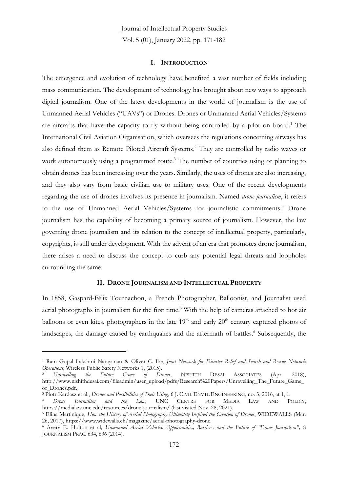#### **I. INTRODUCTION**

The emergence and evolution of technology have benefited a vast number of fields including mass communication. The development of technology has brought about new ways to approach digital journalism. One of the latest developments in the world of journalism is the use of Unmanned Aerial Vehicles ("UAVs") or Drones. Drones or Unmanned Aerial Vehicles/Systems are aircrafts that have the capacity to fly without being controlled by a pilot on board.<sup>1</sup> The International Civil Aviation Organisation, which oversees the regulations concerning airways has also defined them as Remote Piloted Aircraft Systems. <sup>2</sup> They are controlled by radio waves or work autonomously using a programmed route. <sup>3</sup> The number of countries using or planning to obtain drones has been increasing over the years. Similarly, the uses of drones are also increasing, and they also vary from basic civilian use to military uses. One of the recent developments regarding the use of drones involves its presence in journalism. Named *drone journalism*, it refers to the use of Unmanned Aerial Vehicles/Systems for journalistic commitments. <sup>4</sup> Drone journalism has the capability of becoming a primary source of journalism. However, the law governing drone journalism and its relation to the concept of intellectual property, particularly, copyrights, is still under development. With the advent of an era that promotes drone journalism, there arises a need to discuss the concept to curb any potential legal threats and loopholes surrounding the same.

#### **II. DRONE JOURNALISM AND INTELLECTUAL PROPERTY**

In 1858, Gaspard-Félix Tournachon, a French Photographer, Balloonist, and Journalist used aerial photographs in journalism for the first time.<sup>5</sup> With the help of cameras attached to hot air balloons or even kites, photographers in the late 19<sup>th</sup> and early 20<sup>th</sup> century captured photos of landscapes, the damage caused by earthquakes and the aftermath of battles.<sup>6</sup> Subsequently, the

<sup>1</sup> Ram Gopal Lakshmi Narayanan & Oliver C. Ibe, *Joint Network for Disaster Relief and Search and Rescue Network Operations*, Wireless Public Safety Networks 1, (2015).<br><sup>2</sup> Unravelling the Future Game of Drones,

<sup>2</sup> *Unravelling the Future Game of Drones*, NISHITH DESAI ASSOCIATES (Apr. 2018), http://www.nishithdesai.com/fileadmin/user\_upload/pdfs/Research%20Papers/Unravelling\_The\_Future\_Game\_ of\_Drones.pdf.

<sup>&</sup>lt;sup>3</sup> Piotr Kardasz et al., *Drones and Possibilities of Their Using*, 6 J. CIVIL ENVTL ENGINEERING, no. 3, 2016, at 1, 1.<br><sup>4</sup> *Drone Journalism and the Law*, UNC CENTRE FOR MEDIA LAW AND PO

<sup>4</sup> *Drone Journalism and the Law*, UNC CENTRE FOR MEDIA LAW AND POLICY, https://medialaw.unc.edu/resources/drone-journalism/ (last visited Nov. 28, 2021).

<sup>5</sup> Elina Martinique, *How the History of Aerial Photography Ultimately Inspired the Creation of Drones*, WIDEWALLS (Mar. 26, 2017), https://www.widewalls.ch/magazine/aerial-photography-drone.

<sup>6</sup> Avery E. Holton et al*, Unmanned Aerial Vehicles: Opportunities, Barriers, and the Future of "Drone Journalism",* 8 JOURNALISM PRAC. 634, 636 (2014).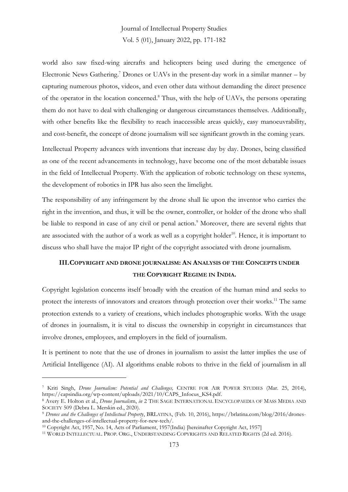world also saw fixed-wing aircrafts and helicopters being used during the emergence of Electronic News Gathering. <sup>7</sup> Drones or UAVs in the present-day work in a similar manner – by capturing numerous photos, videos, and even other data without demanding the direct presence of the operator in the location concerned. <sup>8</sup> Thus, with the help of UAVs, the persons operating them do not have to deal with challenging or dangerous circumstances themselves. Additionally, with other benefits like the flexibility to reach inaccessible areas quickly, easy manoeuvrability, and cost-benefit, the concept of drone journalism will see significant growth in the coming years.

Intellectual Property advances with inventions that increase day by day. Drones, being classified as one of the recent advancements in technology, have become one of the most debatable issues in the field of Intellectual Property. With the application of robotic technology on these systems, the development of robotics in IPR has also seen the limelight.

The responsibility of any infringement by the drone shall lie upon the inventor who carries the right in the invention, and thus, it will be the owner, controller, or holder of the drone who shall be liable to respond in case of any civil or penal action. <sup>9</sup> Moreover, there are several rights that are associated with the author of a work as well as a copyright holder<sup>10</sup>. Hence, it is important to discuss who shall have the major IP right of the copyright associated with drone journalism.

# **III.COPYRIGHT AND DRONE JOURNALISM: AN ANALYSIS OF THE CONCEPTS UNDER THE COPYRIGHT REGIME IN INDIA.**

Copyright legislation concerns itself broadly with the creation of the human mind and seeks to protect the interests of innovators and creators through protection over their works.<sup>11</sup> The same protection extends to a variety of creations, which includes photographic works. With the usage of drones in journalism, it is vital to discuss the ownership in copyright in circumstances that involve drones, employees, and employers in the field of journalism.

It is pertinent to note that the use of drones in journalism to assist the latter implies the use of Artificial Intelligence (AI). AI algorithms enable robots to thrive in the field of journalism in all

<sup>7</sup> Kriti Singh, *Drone Journalism: Potential and Challenges,* CENTRE FOR AIR POWER STUDIES (Mar. 25, 2014), https://capsindia.org/wp-content/uploads/2021/10/CAPS\_Infocus\_KS4.pdf.

<sup>8</sup> Avery E. Holton et al., *Drone Journalis*m, *in* 2 THE SAGE INTERNATIONAL ENCYCLOPAEDIA OF MASS MEDIA AND SOCIETY 509 (Debra L. Merskin ed., 2020).

<sup>9</sup> *Drones and the Challenges of Intellectual Property*, BRLATINA, (Feb. 10, 2016), https://brlatina.com/blog/2016/dronesand-the-challenges-of-intellectual-property-for-new-tech/.

<sup>10</sup> Copyright Act, 1957, No. 14, Acts of Parliament, 1957(India) [hereinafter Copyright Act, 1957]

<sup>11</sup> WORLD INTELLECTUAL. PROP. ORG., UNDERSTANDING COPYRIGHTS AND RELATED RIGHTS (2d ed. 2016).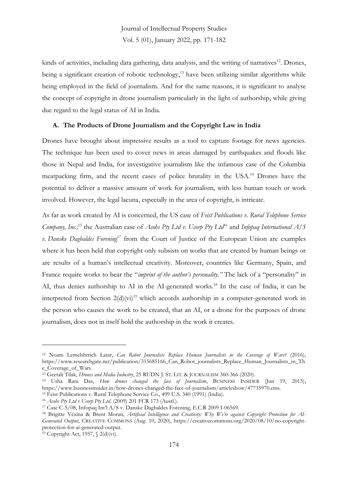kinds of activities, including data gathering, data analysis, and the writing of narratives<sup>12</sup>. Drones, being a significant creation of robotic technology, <sup>13</sup> have been utilizing similar algorithms while being employed in the field of journalism. And for the same reasons, it is significant to analyse the concept of copyright in drone journalism particularly in the light of authorship, while giving due regard to the legal status of AI in India.

### **A. The Products of Drone Journalism and the Copyright Law in India**

Drones have brought about impressive results as a tool to capture footage for news agencies. The technique has been used to cover news in areas damaged by earthquakes and floods like those in Nepal and India, for investigative journalism like the infamous case of the Columbia meatpacking firm, and the recent cases of police brutality in the USA.<sup>14</sup> Drones have the potential to deliver a massive amount of work for journalism, with less human touch or work involved. However, the legal lacuna, especially in the area of copyright, is intricate.

As far as work created by AI is concerned, the US case of *Feist Publications v. Rural Telephone Service Company, Inc.;* <sup>15</sup> the Australian case of *Acohs Pty Ltd v. Ucorp Pty Ltd*<sup>16</sup> and *Infopaq International A/S v. Danske Dagbaldes Forening*<sup>17</sup> from the Court of Justice of the European Union are examples where it has been held that copyright only subsists on works that are created by human beings or are results of a human's intellectual creativity. Moreover, countries like Germany, Spain, and France require works to bear the "*imprint of the author's personality."* The lack of a "personality" in AI, thus denies authorship to AI in the AI-generated works.<sup>18</sup> In the case of India, it can be interpreted from Section  $2(d)(vi)^{19}$  which accords authorship in a computer-generated work in the person who causes the work to be created, that an AI, or a drone for the purposes of drone journalism, does not in itself hold the authorship in the work it creates.

<sup>19</sup> Copyright Act, 1957,  $\sqrt{(d)}$  (vi).

<sup>&</sup>lt;sup>12</sup> Noam Lemelshtrich Latar, *Can Robot Journalists Replace Human Journalists in the Coverage of Wars?* (2016), https://www.researchgate.net/publication/315685166\_Can\_Robot\_journalists\_Replace\_Human\_Journalists\_in\_Th e\_Coverage\_of\_Wars.

<sup>13</sup> Geetali Tilak, *Drones and Media Industry*, 25 RUDN J. ST. LIT. & JOURNALISM 360-366 (2020).

<sup>14</sup> Usha Rani Das, *How drones changed the face of Journalism*, BUSINESS INSIDER (Jun 19, 2015), https://www.businessinsider.in/how-drones-changed-the-face-of-journalism/articleshow/47735970.cms. <sup>15</sup> Feist Publications v. Rural Telephone Service Co., 499 U.S. 340 (1991) (India).

<sup>16</sup> *Acohs Pty Ltd v Ucorp Pty Ltd*. (2009) 201 FCR 173 (Austl.).

<sup>17</sup> Case C-5/08, Infopaq Int'l A/S v. Danske Dagbaldes Forening, E.C.R 2009 I-06569.

<sup>18</sup> Brigitte Vézina & Brent Moran, *Artificial Intelligence and Creativity: Why We're against Copyright Protection for AI-Generated Output*, CREATIVE COMMONS (Aug. 10, 2020), https://creativecommons.org/2020/08/10/no-copyrightprotection-for-ai-generated-output.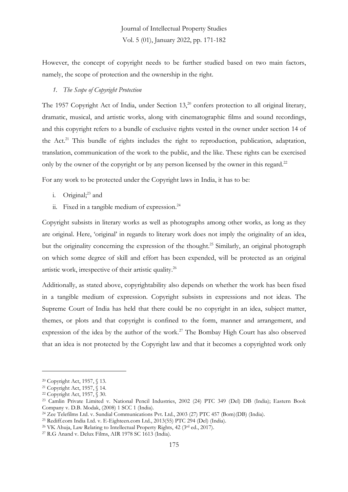However, the concept of copyright needs to be further studied based on two main factors, namely, the scope of protection and the ownership in the right.

### *1. The Scope of Copyright Protection*

The 1957 Copyright Act of India, under Section 13,<sup>20</sup> confers protection to all original literary, dramatic, musical, and artistic works, along with cinematographic films and sound recordings, and this copyright refers to a bundle of exclusive rights vested in the owner under section 14 of the Act.<sup>21</sup> This bundle of rights includes the right to reproduction, publication, adaptation, translation, communication of the work to the public, and the like. These rights can be exercised only by the owner of the copyright or by any person licensed by the owner in this regard.<sup>22</sup>

For any work to be protected under the Copyright laws in India, it has to be:

- i. Original; <sup>23</sup> and
- ii. Fixed in a tangible medium of expression.<sup>24</sup>

Copyright subsists in literary works as well as photographs among other works, as long as they are original. Here, 'original' in regards to literary work does not imply the originality of an idea, but the originality concerning the expression of the thought. <sup>25</sup> Similarly, an original photograph on which some degree of skill and effort has been expended, will be protected as an original artistic work, irrespective of their artistic quality.<sup>26</sup>

Additionally, as stated above, copyrightability also depends on whether the work has been fixed in a tangible medium of expression. Copyright subsists in expressions and not ideas. The Supreme Court of India has held that there could be no copyright in an idea, subject matter, themes, or plots and that copyright is confined to the form, manner and arrangement, and expression of the idea by the author of the work.<sup>27</sup> The Bombay High Court has also observed that an idea is not protected by the Copyright law and that it becomes a copyrighted work only

<sup>20</sup> Copyright Act, 1957, § 13.

<sup>21</sup> Copyright Act, 1957, § 14.

<sup>22</sup> Copyright Act, 1957, § 30.

<sup>23</sup> Camlin Private Limited v. National Pencil Industries, 2002 (24) PTC 349 (Del) DB (India); Eastern Book Company v. D.B. Modak, (2008) 1 SCC 1 (India).

<sup>24</sup> Zee Telefilms Ltd. v. Sundial Communications Pvt. Ltd., 2003 (27) PTC 457 (Bom)(DB) (India).

<sup>25</sup> Rediff.com India Ltd. v. E-Eighteen.com Ltd., 2013(55) PTC 294 (Del) (India).

<sup>&</sup>lt;sup>26</sup> VK Ahuja, Law Relating to Intellectual Property Rights, 42 (3rd ed., 2017).

<sup>27</sup> R.G Anand v. Delux Films, AIR 1978 SC 1613 (India).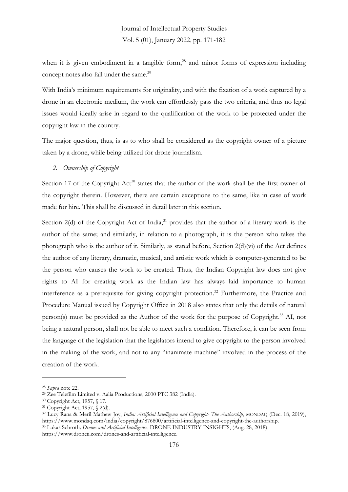when it is given embodiment in a tangible form, <sup>28</sup> and minor forms of expression including concept notes also fall under the same. 29

With India's minimum requirements for originality, and with the fixation of a work captured by a drone in an electronic medium, the work can effortlessly pass the two criteria, and thus no legal issues would ideally arise in regard to the qualification of the work to be protected under the copyright law in the country.

The major question, thus, is as to who shall be considered as the copyright owner of a picture taken by a drone, while being utilized for drone journalism.

*2. Ownership of Copyright*

Section 17 of the Copyright Act<sup>30</sup> states that the author of the work shall be the first owner of the copyright therein. However, there are certain exceptions to the same, like in case of work made for hire. This shall be discussed in detail later in this section.

Section 2(d) of the Copyright Act of India,<sup>31</sup> provides that the author of a literary work is the author of the same; and similarly, in relation to a photograph, it is the person who takes the photograph who is the author of it. Similarly, as stated before, Section 2(d)(vi) of the Act defines the author of any literary, dramatic, musical, and artistic work which is computer-generated to be the person who causes the work to be created. Thus, the Indian Copyright law does not give rights to AI for creating work as the Indian law has always laid importance to human interference as a prerequisite for giving copyright protection.<sup>32</sup> Furthermore, the Practice and Procedure Manual issued by Copyright Office in 2018 also states that only the details of natural person(s) must be provided as the Author of the work for the purpose of Copyright. <sup>33</sup> AI, not being a natural person, shall not be able to meet such a condition. Therefore, it can be seen from the language of the legislation that the legislators intend to give copyright to the person involved in the making of the work, and not to any "inanimate machine" involved in the process of the creation of the work.

https://www.droneii.com/drones-and-artificial-intelligence.

<sup>28</sup> *Supra* note 22.

<sup>29</sup> Zee Telefilm Limited v. Aalia Productions, 2000 PTC 382 (India).

<sup>30</sup> Copyright Act, 1957, § 17.

<sup>31</sup> Copyright Act, 1957, § 2(d).

<sup>32</sup> Lucy Rana & Meril Mathew Joy, *India: Artificial Intelligence and Copyright- The Authorship*, MONDAQ (Dec. 18, 2019), https://www.mondaq.com/india/copyright/876800/artificial-intelligence-and-copyright-the-authorship. <sup>33</sup> Lukas Schroth*, Drones and Artificial Intelligence*, DRONE INDUSTRY INSIGHTS, (Aug. 28, 2018),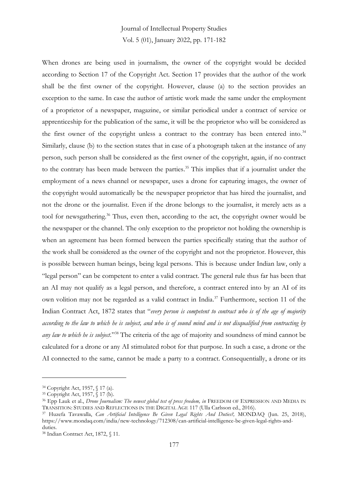When drones are being used in journalism, the owner of the copyright would be decided according to Section 17 of the Copyright Act. Section 17 provides that the author of the work shall be the first owner of the copyright. However, clause (a) to the section provides an exception to the same. In case the author of artistic work made the same under the employment of a proprietor of a newspaper, magazine, or similar periodical under a contract of service or apprenticeship for the publication of the same, it will be the proprietor who will be considered as the first owner of the copyright unless a contract to the contrary has been entered into.<sup>34</sup> Similarly, clause (b) to the section states that in case of a photograph taken at the instance of any person, such person shall be considered as the first owner of the copyright, again, if no contract to the contrary has been made between the parties. <sup>35</sup> This implies that if a journalist under the employment of a news channel or newspaper, uses a drone for capturing images, the owner of the copyright would automatically be the newspaper proprietor that has hired the journalist, and not the drone or the journalist. Even if the drone belongs to the journalist, it merely acts as a tool for newsgathering. <sup>36</sup> Thus, even then, according to the act, the copyright owner would be the newspaper or the channel. The only exception to the proprietor not holding the ownership is when an agreement has been formed between the parties specifically stating that the author of the work shall be considered as the owner of the copyright and not the proprietor. However, this is possible between human beings, being legal persons. This is because under Indian law, only a "legal person" can be competent to enter a valid contract. The general rule thus far has been that an AI may not qualify as a legal person, and therefore, a contract entered into by an AI of its own volition may not be regarded as a valid contract in India. <sup>37</sup> Furthermore, section 11 of the Indian Contract Act, 1872 states that "*every person is competent to contract who is of the age of majority according to the law to which he is subject, and who is of sound mind and is not disqualified from contracting by any law to which he is subject*."<sup>38</sup> The criteria of the age of majority and soundness of mind cannot be calculated for a drone or any AI stimulated robot for that purpose. In such a case, a drone or the AI connected to the same, cannot be made a party to a contract. Consequentially, a drone or its

<sup>34</sup> Copyright Act, 1957, § 17 (a).

<sup>35</sup> Copyright Act, 1957, § 17 (b).

<sup>&</sup>lt;sup>36</sup> Epp Lauk et al., *Drone Journalism: The newest global test of press freedom, in* FREEDOM OF EXPRESSION AND MEDIA IN TRANSITION: STUDIES AND REFLECTIONS IN THE DIGITAL AGE 117 (Ulla Carlsson ed., 2016).

<sup>37</sup> Huzefa Tavawalla, *Can Artificial Intelligence Be Given Legal Rights And Duties?,* MONDAQ (Jun. 25, 2018), https://www.mondaq.com/india/new-technology/712308/can-artificial-intelligence-be-given-legal-rights-andduties.

<sup>38</sup> Indian Contract Act, 1872, § 11.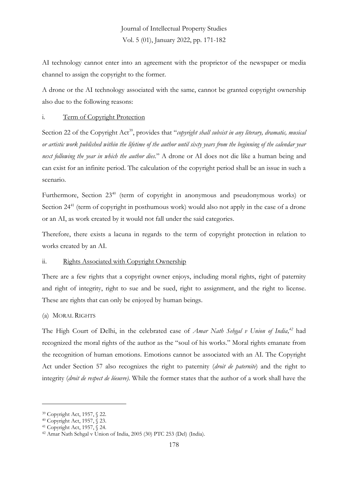AI technology cannot enter into an agreement with the proprietor of the newspaper or media channel to assign the copyright to the former.

A drone or the AI technology associated with the same, cannot be granted copyright ownership also due to the following reasons:

### i. Term of Copyright Protection

Section 22 of the Copyright Act<sup>39</sup>, provides that "*copyright shall subsist in any literary, dramatic, musical or artistic work published within the lifetime of the author until sixty years from the beginning of the calendar year next following the year in which the author dies*." A drone or AI does not die like a human being and can exist for an infinite period. The calculation of the copyright period shall be an issue in such a scenario.

Furthermore, Section 23<sup>40</sup> (term of copyright in anonymous and pseudonymous works) or Section 24<sup>41</sup> (term of copyright in posthumous work) would also not apply in the case of a drone or an AI, as work created by it would not fall under the said categories.

Therefore, there exists a lacuna in regards to the term of copyright protection in relation to works created by an AI.

### ii. Rights Associated with Copyright Ownership

There are a few rights that a copyright owner enjoys, including moral rights, right of paternity and right of integrity, right to sue and be sued, right to assignment, and the right to license. These are rights that can only be enjoyed by human beings.

#### (a) MORAL RIGHTS

The High Court of Delhi, in the celebrated case of *Amar Nath Sehgal v Union of India, <sup>42</sup>* had recognized the moral rights of the author as the "soul of his works." Moral rights emanate from the recognition of human emotions. Emotions cannot be associated with an AI. The Copyright Act under Section 57 also recognizes the right to paternity (*droit de paternite*) and the right to integrity (*droit de respect de lóeuvre)*. While the former states that the author of a work shall have the

<sup>39</sup> Copyright Act, 1957, § 22.

<sup>40</sup> Copyright Act, 1957, § 23.

<sup>41</sup> Copyright Act, 1957, § 24.

<sup>42</sup> Amar Nath Sehgal v Union of India, 2005 (30) PTC 253 (Del) (India).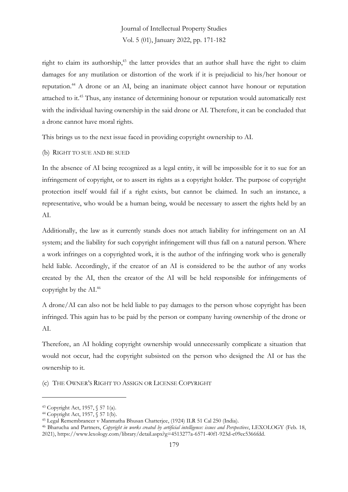right to claim its authorship,<sup>43</sup> the latter provides that an author shall have the right to claim damages for any mutilation or distortion of the work if it is prejudicial to his/her honour or reputation. <sup>44</sup> A drone or an AI, being an inanimate object cannot have honour or reputation attached to it. <sup>45</sup> Thus, any instance of determining honour or reputation would automatically rest with the individual having ownership in the said drone or AI. Therefore, it can be concluded that a drone cannot have moral rights.

This brings us to the next issue faced in providing copyright ownership to AI.

#### (b) RIGHT TO SUE AND BE SUED

In the absence of AI being recognized as a legal entity, it will be impossible for it to sue for an infringement of copyright, or to assert its rights as a copyright holder. The purpose of copyright protection itself would fail if a right exists, but cannot be claimed. In such an instance, a representative, who would be a human being, would be necessary to assert the rights held by an AI.

Additionally, the law as it currently stands does not attach liability for infringement on an AI system; and the liability for such copyright infringement will thus fall on a natural person. Where a work infringes on a copyrighted work, it is the author of the infringing work who is generally held liable. Accordingly, if the creator of an AI is considered to be the author of any works created by the AI, then the creator of the AI will be held responsible for infringements of copyright by the AI. 46

A drone/AI can also not be held liable to pay damages to the person whose copyright has been infringed. This again has to be paid by the person or company having ownership of the drone or AI.

Therefore, an AI holding copyright ownership would unnecessarily complicate a situation that would not occur, had the copyright subsisted on the person who designed the AI or has the ownership to it.

(c) THE OWNER'S RIGHT TO ASSIGN OR LICENSE COPYRIGHT

<sup>43</sup> Copyright Act, 1957, § 57 1(a).

<sup>44</sup> Copyright Act, 1957, § 57 1(b).

<sup>45</sup> Legal Remembrancer v Manmatha Bhusan Chatterjee, (1924) ILR 51 Cal 250 (India).

<sup>46</sup> Bharucha and Partners, *Copyright in works created by artificial intelligence: issues and Perspectives*, LEXOLOGY (Feb. 18, 2021), https://www.lexology.com/library/detail.aspx?g=4513277a-6571-40f1-923d-c09ec5366fdd.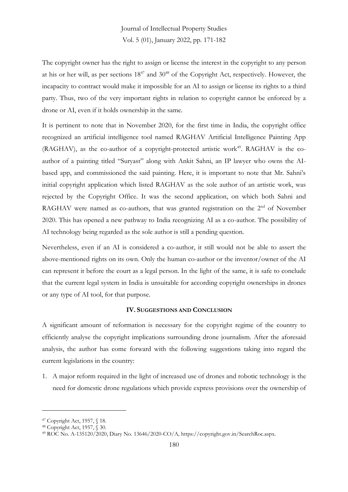The copyright owner has the right to assign or license the interest in the copyright to any person at his or her will, as per sections  $18^{47}$  and  $30^{48}$  of the Copyright Act, respectively. However, the incapacity to contract would make it impossible for an AI to assign or license its rights to a third party. Thus, two of the very important rights in relation to copyright cannot be enforced by a drone or AI, even if it holds ownership in the same.

It is pertinent to note that in November 2020, for the first time in India, the copyright office recognized an artificial intelligence tool named RAGHAV Artificial Intelligence Painting App  $(RAGHAV)$ , as the co-author of a copyright-protected artistic work<sup>49</sup>. RAGHAV is the coauthor of a painting titled "Suryast" along with Ankit Sahni, an IP lawyer who owns the AIbased app, and commissioned the said painting. Here, it is important to note that Mr. Sahni's initial copyright application which listed RAGHAV as the sole author of an artistic work, was rejected by the Copyright Office. It was the second application, on which both Sahni and RAGHAV were named as co-authors, that was granted registration on the  $2<sup>nd</sup>$  of November 2020. This has opened a new pathway to India recognizing AI as a co-author. The possibility of AI technology being regarded as the sole author is still a pending question.

Nevertheless, even if an AI is considered a co-author, it still would not be able to assert the above-mentioned rights on its own. Only the human co-author or the inventor/owner of the AI can represent it before the court as a legal person. In the light of the same, it is safe to conclude that the current legal system in India is unsuitable for according copyright ownerships in drones or any type of AI tool, for that purpose.

#### **IV. SUGGESTIONS AND CONCLUSION**

A significant amount of reformation is necessary for the copyright regime of the country to efficiently analyse the copyright implications surrounding drone journalism. After the aforesaid analysis, the author has come forward with the following suggestions taking into regard the current legislations in the country:

1. A major reform required in the light of increased use of drones and robotic technology is the need for domestic drone regulations which provide express provisions over the ownership of

<sup>47</sup> Copyright Act, 1957, § 18.

<sup>48</sup> Copyright Act, 1957, § 30.

<sup>49</sup> ROC No. A-135120/2020, Diary No. 13646/2020-CO/A*,* https://copyright.gov.in/SearchRoc.aspx.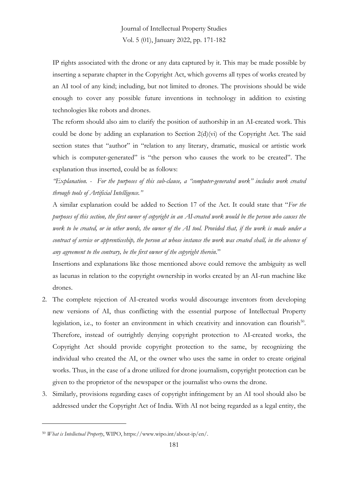IP rights associated with the drone or any data captured by it. This may be made possible by inserting a separate chapter in the Copyright Act, which governs all types of works created by an AI tool of any kind; including, but not limited to drones. The provisions should be wide enough to cover any possible future inventions in technology in addition to existing technologies like robots and drones.

The reform should also aim to clarify the position of authorship in an AI-created work. This could be done by adding an explanation to Section 2(d)(vi) of the Copyright Act. The said section states that "author" in "relation to any literary, dramatic, musical or artistic work which is computer-generated" is "the person who causes the work to be created". The explanation thus inserted, could be as follows:

*"Explanation.* - *For the purposes of this sub-clause, a "computer-generated work" includes work created through tools of Artificial Intelligence."*

A similar explanation could be added to Section 17 of the Act. It could state that "*For the purposes of this section, the first owner of copyright in an AI-created work would be the person who causes the work to be created, or in other words, the owner of the AI tool. Provided that, if the work is made under a contract of service or apprenticeship, the person at whose instance the work was created shall, in the absence of any agreement to the contrary, be the first owner of the copyright therein.*"

Insertions and explanations like those mentioned above could remove the ambiguity as well as lacunas in relation to the copyright ownership in works created by an AI-run machine like drones.

- 2. The complete rejection of AI-created works would discourage inventors from developing new versions of AI, thus conflicting with the essential purpose of Intellectual Property legislation, i.e., to foster an environment in which creativity and innovation can flourish<sup>50</sup>. Therefore, instead of outrightly denying copyright protection to AI-created works, the Copyright Act should provide copyright protection to the same, by recognizing the individual who created the AI, or the owner who uses the same in order to create original works. Thus, in the case of a drone utilized for drone journalism, copyright protection can be given to the proprietor of the newspaper or the journalist who owns the drone.
- 3. Similarly, provisions regarding cases of copyright infringement by an AI tool should also be addressed under the Copyright Act of India. With AI not being regarded as a legal entity, the

<sup>50</sup> *What is Intellectual Property*, WIPO, https://www.wipo.int/about-ip/en/.